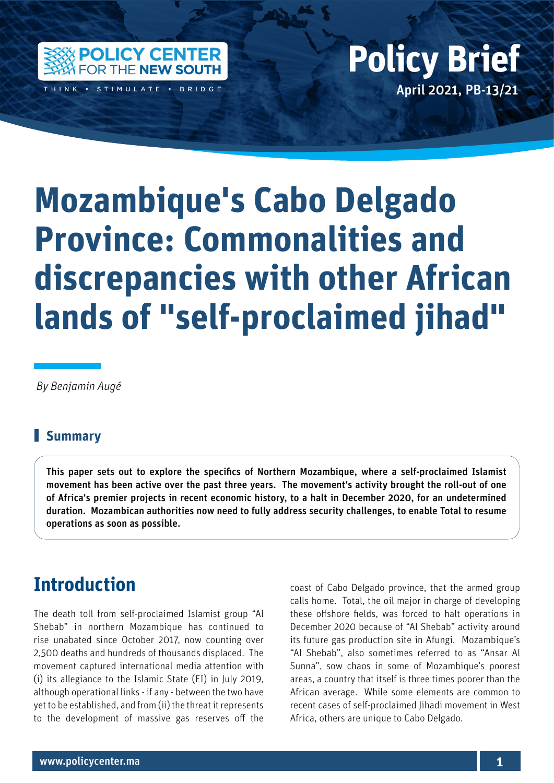

THINK · STIMULATE · BRIDGE

# Policy Center for the New South Policy British Policy British Policy British Policy British Policy British Policy British Policy British Policy British Policy British Policy British Policy British Policy British Policy Bri April 2021, PB-13/21 **Policy Brief**

# **Mozambique's Cabo Delgado Province: Commonalities and discrepancies with other African lands of "self-proclaimed jihad"**

 *By Benjamin Augé*

#### **Summary**

This paper sets out to explore the specifics of Northern Mozambique, where a self-proclaimed Islamist movement has been active over the past three years. The movement's activity brought the roll-out of one of Africa's premier projects in recent economic history, to a halt in December 2020, for an undetermined duration. Mozambican authorities now need to fully address security challenges, to enable Total to resume operations as soon as possible.

#### **Introduction**

The death toll from self-proclaimed Islamist group "Al Shebab" in northern Mozambique has continued to rise unabated since October 2017, now counting over 2,500 deaths and hundreds of thousands displaced. The movement captured international media attention with (i) its allegiance to the Islamic State (EI) in July 2019, although operational links - if any - between the two have yet to be established, and from (ii) the threat it represents to the development of massive gas reserves off the

coast of Cabo Delgado province, that the armed group calls home. Total, the oil major in charge of developing these offshore fields, was forced to halt operations in December 2020 because of "Al Shebab" activity around its future gas production site in Afungi. Mozambique's "Al Shebab", also sometimes referred to as "Ansar Al Sunna", sow chaos in some of Mozambique's poorest areas, a country that itself is three times poorer than the African average. While some elements are common to recent cases of self-proclaimed Jihadi movement in West Africa, others are unique to Cabo Delgado.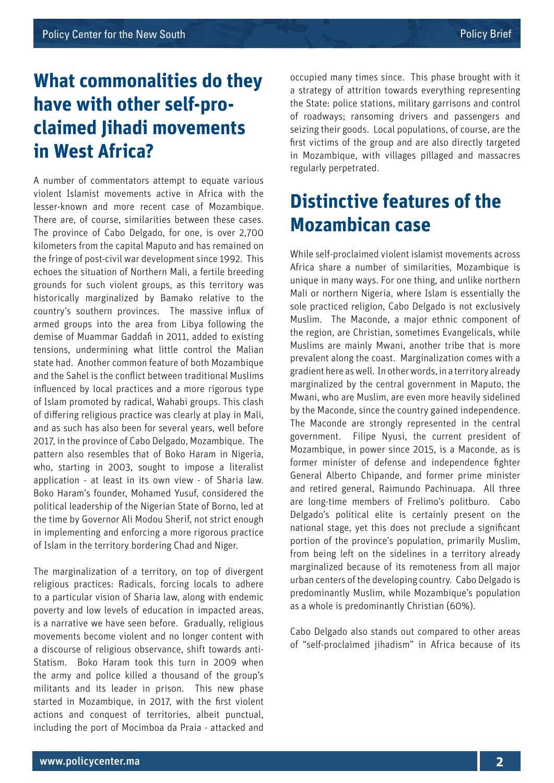## **What commonalities do they have with other self-proclaimed Jihadi movements in West Africa?**

A number of commentators attempt to equate various violent Islamist movements active in Africa with the lesser-known and more recent case of Mozambique. There are, of course, similarities between these cases. The province of Cabo Delgado, for one, is over 2,700 kilometers from the capital Maputo and has remained on the fringe of post-civil war development since 1992. This echoes the situation of Northern Mali, a fertile breeding grounds for such violent groups, as this territory was historically marginalized by Bamako relative to the country's southern provinces. The massive influx of armed groups into the area from Libya following the demise of Muammar Gaddafi in 2011, added to existing tensions, undermining what little control the Malian state had. Another common feature of both Mozambique and the Sahel is the conflict between traditional Muslims influenced by local practices and a more rigorous type of Islam promoted by radical, Wahabi groups. This clash of differing religious practice was clearly at play in Mali, and as such has also been for several years, well before 2017, in the province of Cabo Delgado, Mozambique. The pattern also resembles that of Boko Haram in Nigeria, who, starting in 2003, sought to impose a literalist application - at least in its own view - of Sharia law. Boko Haram's founder, Mohamed Yusuf, considered the political leadership of the Nigerian State of Borno, led at the time by Governor Ali Modou Sherif, not strict enough in implementing and enforcing a more rigorous practice of Islam in the territory bordering Chad and Niger.

The marginalization of a territory, on top of divergent religious practices: Radicals, forcing locals to adhere to a particular vision of Sharia law, along with endemic poverty and low levels of education in impacted areas, is a narrative we have seen before. Gradually, religious movements become violent and no longer content with a discourse of religious observance, shift towards anti-Statism. Boko Haram took this turn in 2009 when the army and police killed a thousand of the group's militants and its leader in prison. This new phase started in Mozambique, in 2017, with the first violent actions and conquest of territories, albeit punctual, including the port of Mocimboa da Praia - attacked and

occupied many times since. This phase brought with it a strategy of attrition towards everything representing the State: police stations, military garrisons and control of roadways; ransoming drivers and passengers and seizing their goods. Local populations, of course, are the first victims of the group and are also directly targeted in Mozambique, with villages pillaged and massacres regularly perpetrated.

### **Distinctive features of the Mozambican case**

While self-proclaimed violent islamist movements across Africa share a number of similarities, Mozambique is unique in many ways. For one thing, and unlike northern Mali or northern Nigeria, where Islam is essentially the sole practiced religion, Cabo Delgado is not exclusively Muslim. The Maconde, a major ethnic component of the region, are Christian, sometimes Evangelicals, while Muslims are mainly Mwani, another tribe that is more prevalent along the coast. Marginalization comes with a gradient here as well. In other words, in a territory already marginalized by the central government in Maputo, the Mwani, who are Muslim, are even more heavily sidelined by the Maconde, since the country gained independence. The Maconde are strongly represented in the central government. Filipe Nyusi, the current president of Mozambique, in power since 2015, is a Maconde, as is former minister of defense and independence fighter General Alberto Chipande, and former prime minister and retired general, Raimundo Pachinuapa. All three are long-time members of Frelimo's politburo. Cabo Delgado's political elite is certainly present on the national stage, yet this does not preclude a significant portion of the province's population, primarily Muslim, from being left on the sidelines in a territory already marginalized because of its remoteness from all major urban centers of the developing country. Cabo Delgado is predominantly Muslim, while Mozambique's population as a whole is predominantly Christian (60%).

Cabo Delgado also stands out compared to other areas of "self-proclaimed jihadism" in Africa because of its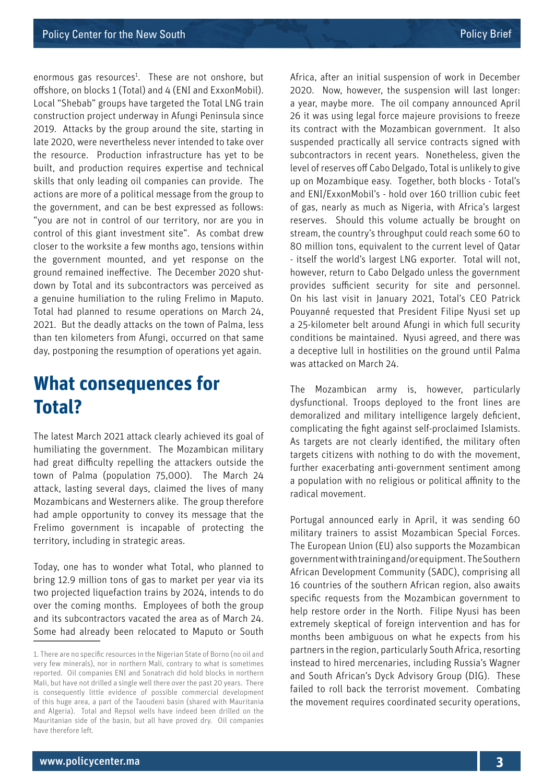enormous gas resources<sup>1</sup>. These are not onshore, but offshore, on blocks 1 (Total) and 4 (ENI and ExxonMobil). Local "Shebab" groups have targeted the Total LNG train construction project underway in Afungi Peninsula since 2019. Attacks by the group around the site, starting in late 2020, were nevertheless never intended to take over the resource. Production infrastructure has yet to be built, and production requires expertise and technical skills that only leading oil companies can provide. The actions are more of a political message from the group to the government, and can be best expressed as follows: "you are not in control of our territory, nor are you in control of this giant investment site". As combat drew closer to the worksite a few months ago, tensions within the government mounted, and yet response on the ground remained ineffective. The December 2020 shutdown by Total and its subcontractors was perceived as a genuine humiliation to the ruling Frelimo in Maputo. Total had planned to resume operations on March 24, 2021. But the deadly attacks on the town of Palma, less than ten kilometers from Afungi, occurred on that same day, postponing the resumption of operations yet again.

#### **What consequences for Total?**

The latest March 2021 attack clearly achieved its goal of humiliating the government. The Mozambican military had great difficulty repelling the attackers outside the town of Palma (population 75,000). The March 24 attack, lasting several days, claimed the lives of many Mozambicans and Westerners alike. The group therefore had ample opportunity to convey its message that the Frelimo government is incapable of protecting the territory, including in strategic areas.

Today, one has to wonder what Total, who planned to bring 12.9 million tons of gas to market per year via its two projected liquefaction trains by 2024, intends to do over the coming months. Employees of both the group and its subcontractors vacated the area as of March 24. Some had already been relocated to Maputo or South Africa, after an initial suspension of work in December 2020. Now, however, the suspension will last longer: a year, maybe more. The oil company announced April 26 it was using legal force majeure provisions to freeze its contract with the Mozambican government. It also suspended practically all service contracts signed with subcontractors in recent years. Nonetheless, given the level of reserves off Cabo Delgado, Total is unlikely to give up on Mozambique easy. Together, both blocks - Total's and ENI/ExxonMobil's - hold over 160 trillion cubic feet of gas, nearly as much as Nigeria, with Africa's largest reserves. Should this volume actually be brought on stream, the country's throughput could reach some 60 to 80 million tons, equivalent to the current level of Qatar - itself the world's largest LNG exporter. Total will not, however, return to Cabo Delgado unless the government provides sufficient security for site and personnel. On his last visit in January 2021, Total's CEO Patrick Pouyanné requested that President Filipe Nyusi set up a 25-kilometer belt around Afungi in which full security conditions be maintained. Nyusi agreed, and there was a deceptive lull in hostilities on the ground until Palma was attacked on March 24.

The Mozambican army is, however, particularly dysfunctional. Troops deployed to the front lines are demoralized and military intelligence largely deficient, complicating the fight against self-proclaimed Islamists. As targets are not clearly identified, the military often targets citizens with nothing to do with the movement, further exacerbating anti-government sentiment among a population with no religious or political affinity to the radical movement.

Portugal announced early in April, it was sending 60 military trainers to assist Mozambican Special Forces. The European Union (EU) also supports the Mozambican government with training and/or equipment. The Southern African Development Community (SADC), comprising all 16 countries of the southern African region, also awaits specific requests from the Mozambican government to help restore order in the North. Filipe Nyusi has been extremely skeptical of foreign intervention and has for months been ambiguous on what he expects from his partners in the region, particularly South Africa, resorting instead to hired mercenaries, including Russia's Wagner and South African's Dyck Advisory Group (DIG). These failed to roll back the terrorist movement. Combating the movement requires coordinated security operations,

<sup>1.</sup> There are no specific resources in the Nigerian State of Borno (no oil and very few minerals), nor in northern Mali, contrary to what is sometimes reported. Oil companies ENI and Sonatrach did hold blocks in northern Mali, but have not drilled a single well there over the past 20 years. There is consequently little evidence of possible commercial development of this huge area, a part of the Taoudeni basin (shared with Mauritania and Algeria). Total and Repsol wells have indeed been drilled on the Mauritanian side of the basin, but all have proved dry. Oil companies have therefore left.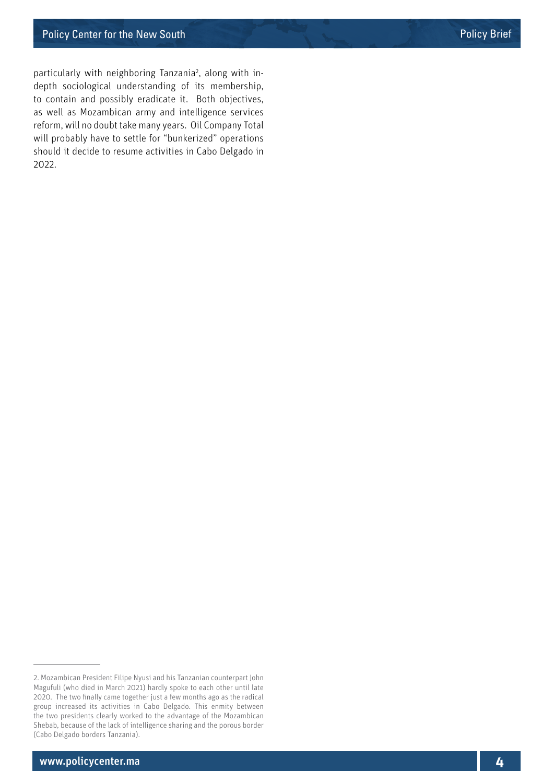particularly with neighboring Tanzania<sup>2</sup>, along with indepth sociological understanding of its membership, to contain and possibly eradicate it. Both objectives, as well as Mozambican army and intelligence services reform, will no doubt take many years. Oil Company Total will probably have to settle for "bunkerized" operations should it decide to resume activities in Cabo Delgado in 2022.

<sup>2.</sup> Mozambican President Filipe Nyusi and his Tanzanian counterpart John Magufuli (who died in March 2021) hardly spoke to each other until late 2020. The two finally came together just a few months ago as the radical group increased its activities in Cabo Delgado. This enmity between the two presidents clearly worked to the advantage of the Mozambican Shebab, because of the lack of intelligence sharing and the porous border (Cabo Delgado borders Tanzania).